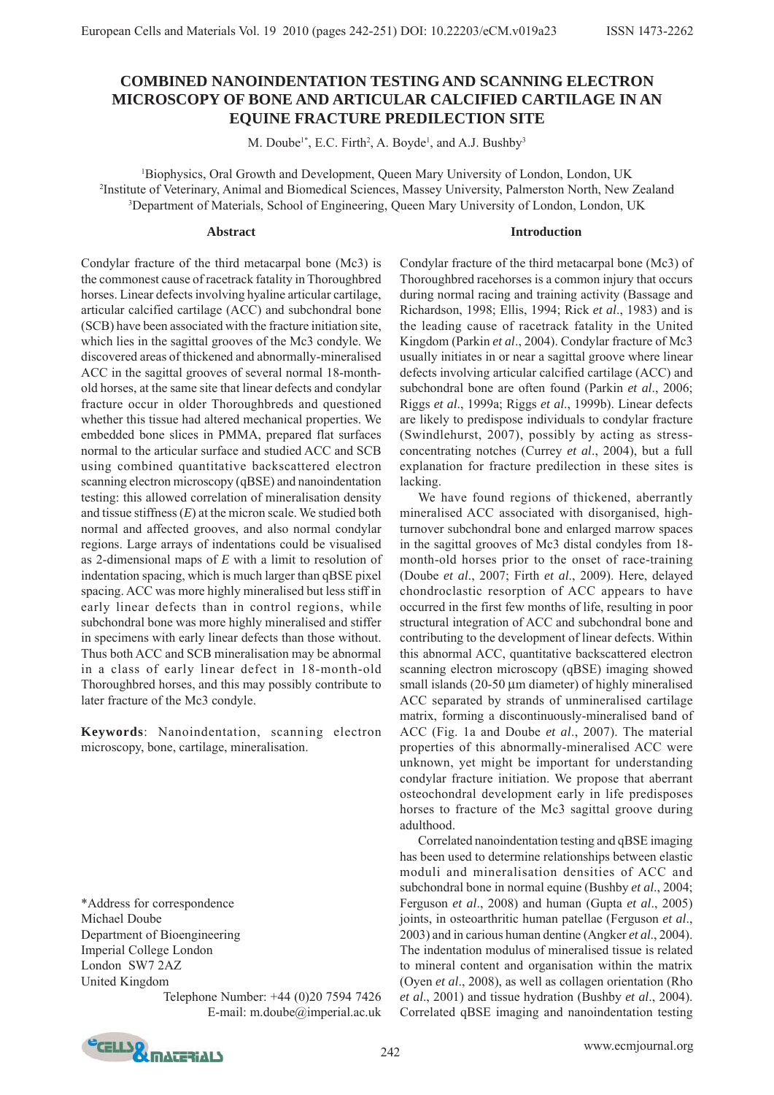# **COMBINED NANOINDENTATION TESTING AND SCANNING ELECTRON MICROSCOPY OF BONE AND ARTICULAR CALCIFIED CARTILAGE IN AN EQUINE FRACTURE PREDILECTION SITE**

M. Doube<sup>1\*</sup>, E.C. Firth<sup>2</sup>, A. Boyde<sup>1</sup>, and A.J. Bushby<sup>3</sup>

1 Biophysics, Oral Growth and Development, Queen Mary University of London, London, UK 2 Institute of Veterinary, Animal and Biomedical Sciences, Massey University, Palmerston North, New Zealand 3 Department of Materials, School of Engineering, Queen Mary University of London, London, UK

#### **Abstract**

**Introduction**

Condylar fracture of the third metacarpal bone (Mc3) is the commonest cause of racetrack fatality in Thoroughbred horses. Linear defects involving hyaline articular cartilage, articular calcified cartilage (ACC) and subchondral bone (SCB) have been associated with the fracture initiation site, which lies in the sagittal grooves of the Mc3 condyle. We discovered areas of thickened and abnormally-mineralised ACC in the sagittal grooves of several normal 18-monthold horses, at the same site that linear defects and condylar fracture occur in older Thoroughbreds and questioned whether this tissue had altered mechanical properties. We embedded bone slices in PMMA, prepared flat surfaces normal to the articular surface and studied ACC and SCB using combined quantitative backscattered electron scanning electron microscopy (qBSE) and nanoindentation testing: this allowed correlation of mineralisation density and tissue stiffness (*E*) at the micron scale. We studied both normal and affected grooves, and also normal condylar regions. Large arrays of indentations could be visualised as 2-dimensional maps of *E* with a limit to resolution of indentation spacing, which is much larger than qBSE pixel spacing. ACC was more highly mineralised but less stiff in early linear defects than in control regions, while subchondral bone was more highly mineralised and stiffer in specimens with early linear defects than those without. Thus both ACC and SCB mineralisation may be abnormal in a class of early linear defect in 18-month-old Thoroughbred horses, and this may possibly contribute to later fracture of the Mc3 condyle.

**Keywords**: Nanoindentation, scanning electron microscopy, bone, cartilage, mineralisation.

\*Address for correspondence Michael Doube Department of Bioengineering Imperial College London London SW7 2AZ United Kingdom

Telephone Number: +44 (0)20 7594 7426 E-mail: m.doube@imperial.ac.uk Condylar fracture of the third metacarpal bone (Mc3) of Thoroughbred racehorses is a common injury that occurs during normal racing and training activity (Bassage and Richardson, 1998; Ellis, 1994; Rick *et al*., 1983) and is the leading cause of racetrack fatality in the United Kingdom (Parkin *et al*., 2004). Condylar fracture of Mc3 usually initiates in or near a sagittal groove where linear defects involving articular calcified cartilage (ACC) and subchondral bone are often found (Parkin *et al*., 2006; Riggs *et al*., 1999a; Riggs *et al*., 1999b). Linear defects are likely to predispose individuals to condylar fracture (Swindlehurst, 2007), possibly by acting as stressconcentrating notches (Currey *et al*., 2004), but a full explanation for fracture predilection in these sites is lacking.

We have found regions of thickened, aberrantly mineralised ACC associated with disorganised, highturnover subchondral bone and enlarged marrow spaces in the sagittal grooves of Mc3 distal condyles from 18 month-old horses prior to the onset of race-training (Doube *et al*., 2007; Firth *et al*., 2009). Here, delayed chondroclastic resorption of ACC appears to have occurred in the first few months of life, resulting in poor structural integration of ACC and subchondral bone and contributing to the development of linear defects. Within this abnormal ACC, quantitative backscattered electron scanning electron microscopy (qBSE) imaging showed small islands (20-50 μm diameter) of highly mineralised ACC separated by strands of unmineralised cartilage matrix, forming a discontinuously-mineralised band of ACC (Fig. 1a and Doube *et al*., 2007). The material properties of this abnormally-mineralised ACC were unknown, yet might be important for understanding condylar fracture initiation. We propose that aberrant osteochondral development early in life predisposes horses to fracture of the Mc3 sagittal groove during adulthood.

Correlated nanoindentation testing and qBSE imaging has been used to determine relationships between elastic moduli and mineralisation densities of ACC and subchondral bone in normal equine (Bushby *et al*., 2004; Ferguson *et al*., 2008) and human (Gupta *et al*., 2005) joints, in osteoarthritic human patellae (Ferguson *et al*., 2003) and in carious human dentine (Angker *et al*., 2004). The indentation modulus of mineralised tissue is related to mineral content and organisation within the matrix (Oyen *et al*., 2008), as well as collagen orientation (Rho *et al*., 2001) and tissue hydration (Bushby *et al*., 2004). Correlated qBSE imaging and nanoindentation testing

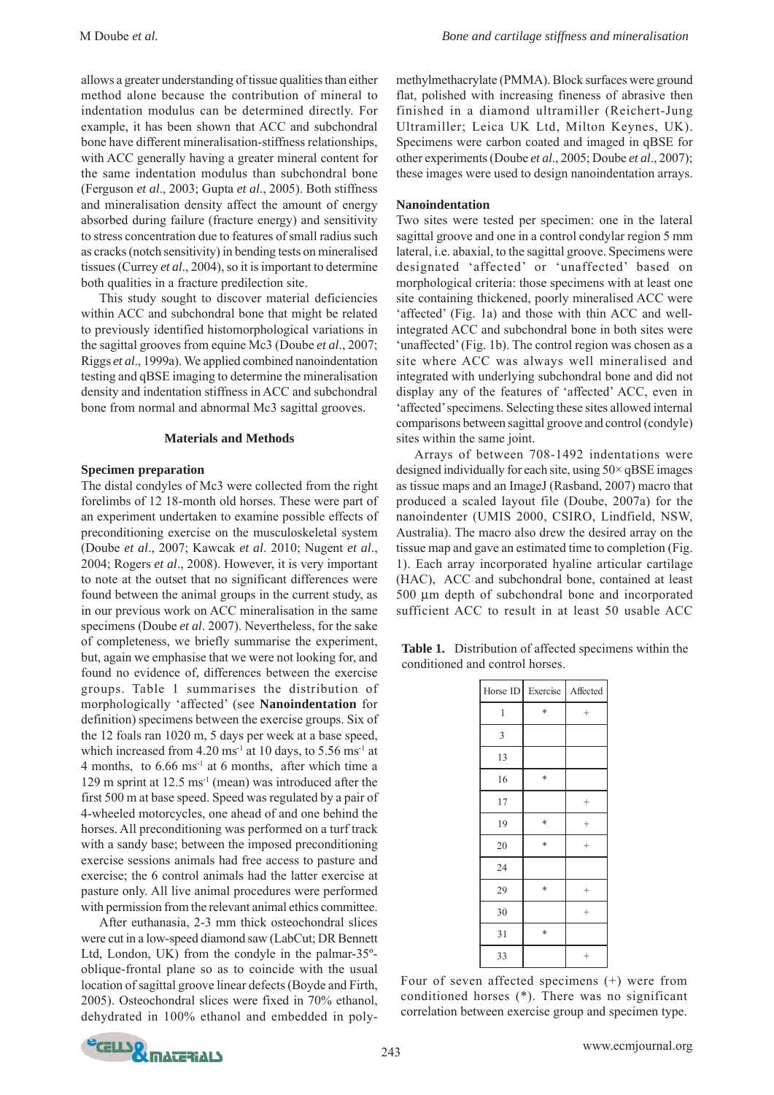allows a greater understanding of tissue qualities than either method alone because the contribution of mineral to indentation modulus can be determined directly. For example, it has been shown that ACC and subchondral bone have different mineralisation-stiffness relationships, with ACC generally having a greater mineral content for the same indentation modulus than subchondral bone (Ferguson *et al*., 2003; Gupta *et al*., 2005). Both stiffness and mineralisation density affect the amount of energy absorbed during failure (fracture energy) and sensitivity to stress concentration due to features of small radius such as cracks (notch sensitivity) in bending tests on mineralised tissues (Currey *et al*., 2004), so it is important to determine both qualities in a fracture predilection site.

This study sought to discover material deficiencies within ACC and subchondral bone that might be related to previously identified histomorphological variations in the sagittal grooves from equine Mc3 (Doube *et al*., 2007; Riggs *et al*., 1999a). We applied combined nanoindentation testing and qBSE imaging to determine the mineralisation density and indentation stiffness in ACC and subchondral bone from normal and abnormal Mc3 sagittal grooves.

# **Materials and Methods**

#### **Specimen preparation**

The distal condyles of Mc3 were collected from the right forelimbs of 12 18-month old horses. These were part of an experiment undertaken to examine possible effects of preconditioning exercise on the musculoskeletal system (Doube *et al*., 2007; Kawcak *et al*. 2010; Nugent *et al*., 2004; Rogers *et al*., 2008). However, it is very important to note at the outset that no significant differences were found between the animal groups in the current study, as in our previous work on ACC mineralisation in the same specimens (Doube *et al*. 2007). Nevertheless, for the sake of completeness, we briefly summarise the experiment, but, again we emphasise that we were not looking for, and found no evidence of, differences between the exercise groups. Table 1 summarises the distribution of morphologically 'affected' (see **Nanoindentation** for definition) specimens between the exercise groups. Six of the 12 foals ran 1020 m, 5 days per week at a base speed, which increased from  $4.20 \text{ ms}^{-1}$  at 10 days, to  $5.56 \text{ ms}^{-1}$  at 4 months, to 6.66 ms-1 at 6 months, after which time a 129 m sprint at 12.5 ms-1 (mean) was introduced after the first 500 m at base speed. Speed was regulated by a pair of 4-wheeled motorcycles, one ahead of and one behind the horses. All preconditioning was performed on a turf track with a sandy base; between the imposed preconditioning exercise sessions animals had free access to pasture and exercise; the 6 control animals had the latter exercise at pasture only. All live animal procedures were performed with permission from the relevant animal ethics committee.

After euthanasia, 2-3 mm thick osteochondral slices were cut in a low-speed diamond saw (LabCut; DR Bennett Ltd, London, UK) from the condyle in the palmar-35ºoblique-frontal plane so as to coincide with the usual location of sagittal groove linear defects (Boyde and Firth, 2005). Osteochondral slices were fixed in 70% ethanol, dehydrated in 100% ethanol and embedded in poly-

methylmethacrylate (PMMA). Block surfaces were ground flat, polished with increasing fineness of abrasive then finished in a diamond ultramiller (Reichert-Jung Ultramiller; Leica UK Ltd, Milton Keynes, UK). Specimens were carbon coated and imaged in qBSE for other experiments (Doube *et al*., 2005; Doube *et al*., 2007); these images were used to design nanoindentation arrays.

#### **Nanoindentation**

Two sites were tested per specimen: one in the lateral sagittal groove and one in a control condylar region 5 mm lateral, i.e. abaxial, to the sagittal groove. Specimens were designated 'affected' or 'unaffected' based on morphological criteria: those specimens with at least one site containing thickened, poorly mineralised ACC were 'affected' (Fig. 1a) and those with thin ACC and wellintegrated ACC and subchondral bone in both sites were 'unaffected' (Fig. 1b). The control region was chosen as a site where ACC was always well mineralised and integrated with underlying subchondral bone and did not display any of the features of 'affected' ACC, even in 'affected' specimens. Selecting these sites allowed internal comparisons between sagittal groove and control (condyle) sites within the same joint.

Arrays of between 708-1492 indentations were designed individually for each site, using  $50\times qBSE$  images as tissue maps and an ImageJ (Rasband, 2007) macro that produced a scaled layout file (Doube, 2007a) for the nanoindenter (UMIS 2000, CSIRO, Lindfield, NSW, Australia). The macro also drew the desired array on the tissue map and gave an estimated time to completion (Fig. 1). Each array incorporated hyaline articular cartilage (HAC), ACC and subchondral bone, contained at least 500 μm depth of subchondral bone and incorporated sufficient ACC to result in at least 50 usable ACC

**Table 1.** Distribution of affected specimens within the conditioned and control horses.

| Horse ID | Exercise | Affected |
|----------|----------|----------|
| 1        | *        | $^{+}$   |
| 3        |          |          |
| 13       |          |          |
| 16       | *        |          |
| 17       |          | $^{+}$   |
| 19       | *        | $^{+}$   |
| 20       | *        | $^{+}$   |
| 24       |          |          |
| 29       | *        | $^{+}$   |
| 30       |          | $^{+}$   |
| 31       | *        |          |
| 33       |          | $^{+}$   |

Four of seven affected specimens (+) were from conditioned horses (\*). There was no significant correlation between exercise group and specimen type.

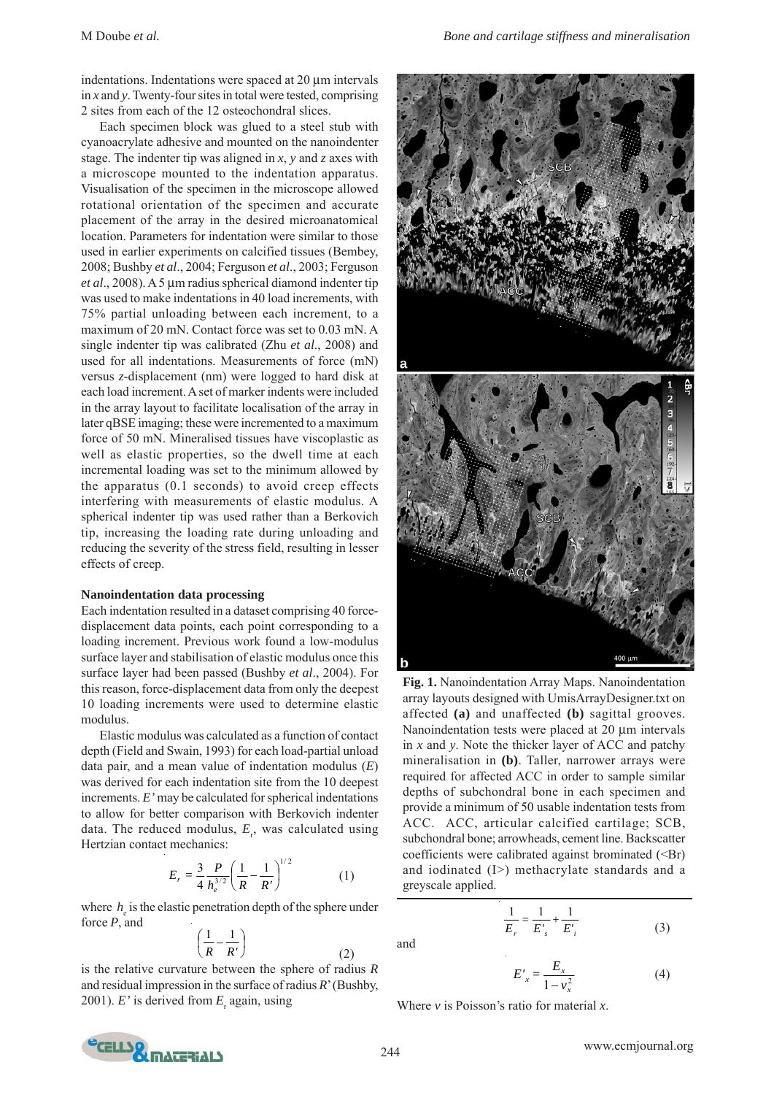indentations. Indentations were spaced at 20 μm intervals in *x* and *y*. Twenty-four sites in total were tested, comprising 2 sites from each of the 12 osteochondral slices.

Each specimen block was glued to a steel stub with cyanoacrylate adhesive and mounted on the nanoindenter stage. The indenter tip was aligned in *x*, *y* and *z* axes with a microscope mounted to the indentation apparatus. Visualisation of the specimen in the microscope allowed rotational orientation of the specimen and accurate placement of the array in the desired microanatomical location. Parameters for indentation were similar to those used in earlier experiments on calcified tissues (Bembey, 2008; Bushby *et al*., 2004; Ferguson *et al*., 2003; Ferguson *et al*., 2008). A 5 μm radius spherical diamond indenter tip was used to make indentations in 40 load increments, with 75% partial unloading between each increment, to a maximum of 20 mN. Contact force was set to 0.03 mN. A single indenter tip was calibrated (Zhu *et al*., 2008) and used for all indentations. Measurements of force (mN) versus *z*-displacement (nm) were logged to hard disk at each load increment. A set of marker indents were included in the array layout to facilitate localisation of the array in later qBSE imaging; these were incremented to a maximum force of 50 mN. Mineralised tissues have viscoplastic as well as elastic properties, so the dwell time at each incremental loading was set to the minimum allowed by the apparatus (0.1 seconds) to avoid creep effects interfering with measurements of elastic modulus. A spherical indenter tip was used rather than a Berkovich tip, increasing the loading rate during unloading and reducing the severity of the stress field, resulting in lesser effects of creep.

## **Nanoindentation data processing**

Each indentation resulted in a dataset comprising 40 forcedisplacement data points, each point corresponding to a loading increment. Previous work found a low-modulus surface layer and stabilisation of elastic modulus once this surface layer had been passed (Bushby *et al*., 2004). For this reason, force-displacement data from only the deepest 10 loading increments were used to determine elastic modulus.

Elastic modulus was calculated as a function of contact depth (Field and Swain, 1993) for each load-partial unload data pair, and a mean value of indentation modulus (*E*) was derived for each indentation site from the 10 deepest increments. *E'* may be calculated for spherical indentations to allow for better comparison with Berkovich indenter data. The reduced modulus,  $E_r$ , was calculated using Hertzian contact mechanics:

$$
E_r = \frac{3}{4} \frac{P}{h_e^{3/2}} \left( \frac{1}{R} - \frac{1}{R'} \right)^{1/2}
$$
 (1)

where  $h_{\rm e}$  is the elastic penetration depth of the sphere under force *P*, and

$$
\left(\frac{1}{R} - \frac{1}{R'}\right) \tag{2}
$$

is the relative curvature between the sphere of radius *R* and residual impression in the surface of radius *R*' (Bushby, 2001).  $E'$  is derived from  $E_r$  again, using



**Fig. 1.** Nanoindentation Array Maps. Nanoindentation array layouts designed with UmisArrayDesigner.txt on affected **(a)** and unaffected **(b)** sagittal grooves. Nanoindentation tests were placed at 20 μm intervals in *x* and *y*. Note the thicker layer of ACC and patchy mineralisation in **(b)**. Taller, narrower arrays were required for affected ACC in order to sample similar depths of subchondral bone in each specimen and provide a minimum of 50 usable indentation tests from ACC. ACC, articular calcified cartilage; SCB, subchondral bone; arrowheads, cement line. Backscatter coefficients were calibrated against brominated (<Br) and iodinated (I>) methacrylate standards and a greyscale applied.

and

$$
\frac{1}{E_r} = \frac{1}{E'_s} + \frac{1}{E'_i}
$$
 (3)

$$
E'_x = \frac{E_x}{1 - v_x^2} \tag{4}
$$

Where *v* is Poisson's ratio for material *x*.



 $(3)$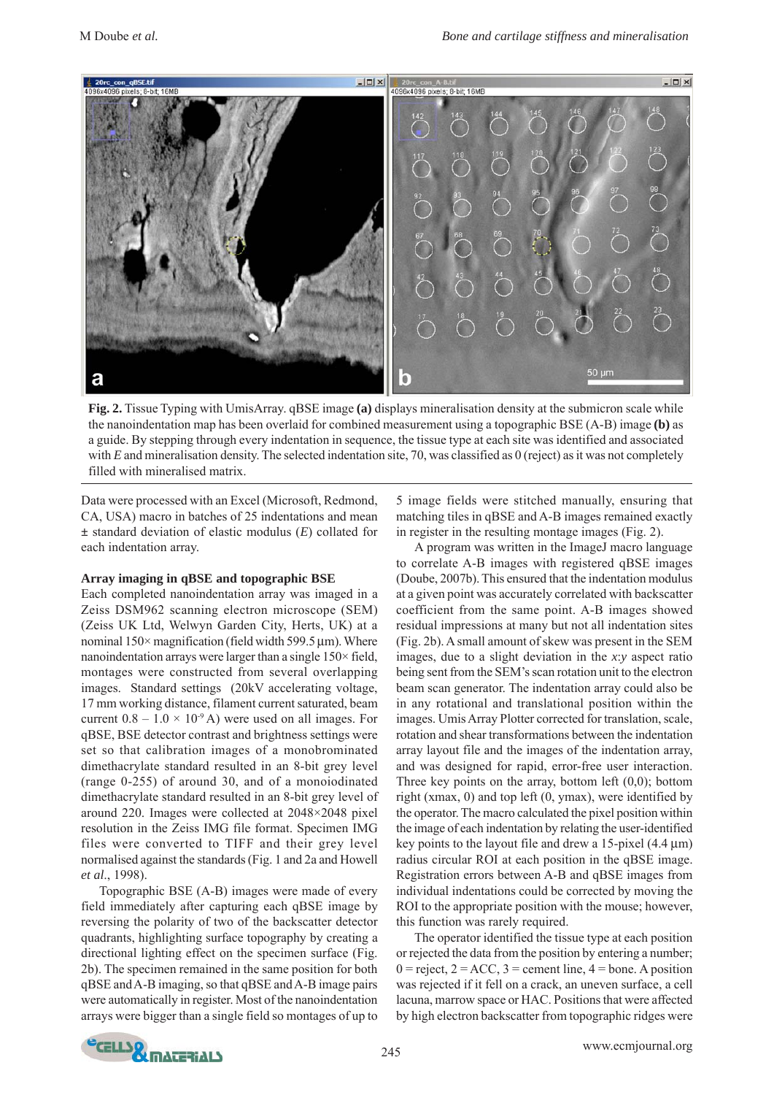

**Fig. 2.** Tissue Typing with UmisArray. qBSE image **(a)** displays mineralisation density at the submicron scale while the nanoindentation map has been overlaid for combined measurement using a topographic BSE (A-B) image **(b)** as a guide. By stepping through every indentation in sequence, the tissue type at each site was identified and associated with *E* and mineralisation density. The selected indentation site, 70, was classified as 0 (reject) as it was not completely filled with mineralised matrix.

Data were processed with an Excel (Microsoft, Redmond, CA, USA) macro in batches of 25 indentations and mean **±** standard deviation of elastic modulus (*E*) collated for each indentation array.

#### **Array imaging in qBSE and topographic BSE**

Each completed nanoindentation array was imaged in a Zeiss DSM962 scanning electron microscope (SEM) (Zeiss UK Ltd, Welwyn Garden City, Herts, UK) at a nominal  $150\times$  magnification (field width 599.5  $\mu$ m). Where nanoindentation arrays were larger than a single  $150\times$  field, montages were constructed from several overlapping images. Standard settings (20kV accelerating voltage, 17 mm working distance, filament current saturated, beam current  $0.8 - 1.0 \times 10^{-9}$  A) were used on all images. For qBSE, BSE detector contrast and brightness settings were set so that calibration images of a monobrominated dimethacrylate standard resulted in an 8-bit grey level (range 0-255) of around 30, and of a monoiodinated dimethacrylate standard resulted in an 8-bit grey level of around 220. Images were collected at 2048×2048 pixel resolution in the Zeiss IMG file format. Specimen IMG files were converted to TIFF and their grey level normalised against the standards (Fig. 1 and 2a and Howell *et al*., 1998).

Topographic BSE (A-B) images were made of every field immediately after capturing each qBSE image by reversing the polarity of two of the backscatter detector quadrants, highlighting surface topography by creating a directional lighting effect on the specimen surface (Fig. 2b). The specimen remained in the same position for both qBSE and A-B imaging, so that qBSE and A-B image pairs were automatically in register. Most of the nanoindentation arrays were bigger than a single field so montages of up to

5 image fields were stitched manually, ensuring that matching tiles in qBSE and A-B images remained exactly in register in the resulting montage images (Fig. 2).

A program was written in the ImageJ macro language to correlate A-B images with registered qBSE images (Doube, 2007b). This ensured that the indentation modulus at a given point was accurately correlated with backscatter coefficient from the same point. A-B images showed residual impressions at many but not all indentation sites (Fig. 2b). A small amount of skew was present in the SEM images, due to a slight deviation in the *x*:*y* aspect ratio being sent from the SEM's scan rotation unit to the electron beam scan generator. The indentation array could also be in any rotational and translational position within the images. Umis Array Plotter corrected for translation, scale, rotation and shear transformations between the indentation array layout file and the images of the indentation array, and was designed for rapid, error-free user interaction. Three key points on the array, bottom left  $(0,0)$ ; bottom right (xmax, 0) and top left (0, ymax), were identified by the operator. The macro calculated the pixel position within the image of each indentation by relating the user-identified key points to the layout file and drew a 15-pixel (4.4 μm) radius circular ROI at each position in the qBSE image. Registration errors between A-B and qBSE images from individual indentations could be corrected by moving the ROI to the appropriate position with the mouse; however, this function was rarely required.

The operator identified the tissue type at each position or rejected the data from the position by entering a number;  $0 =$  reject,  $2 =$  ACC,  $3 =$  cement line,  $4 =$  bone. A position was rejected if it fell on a crack, an uneven surface, a cell lacuna, marrow space or HAC. Positions that were affected by high electron backscatter from topographic ridges were

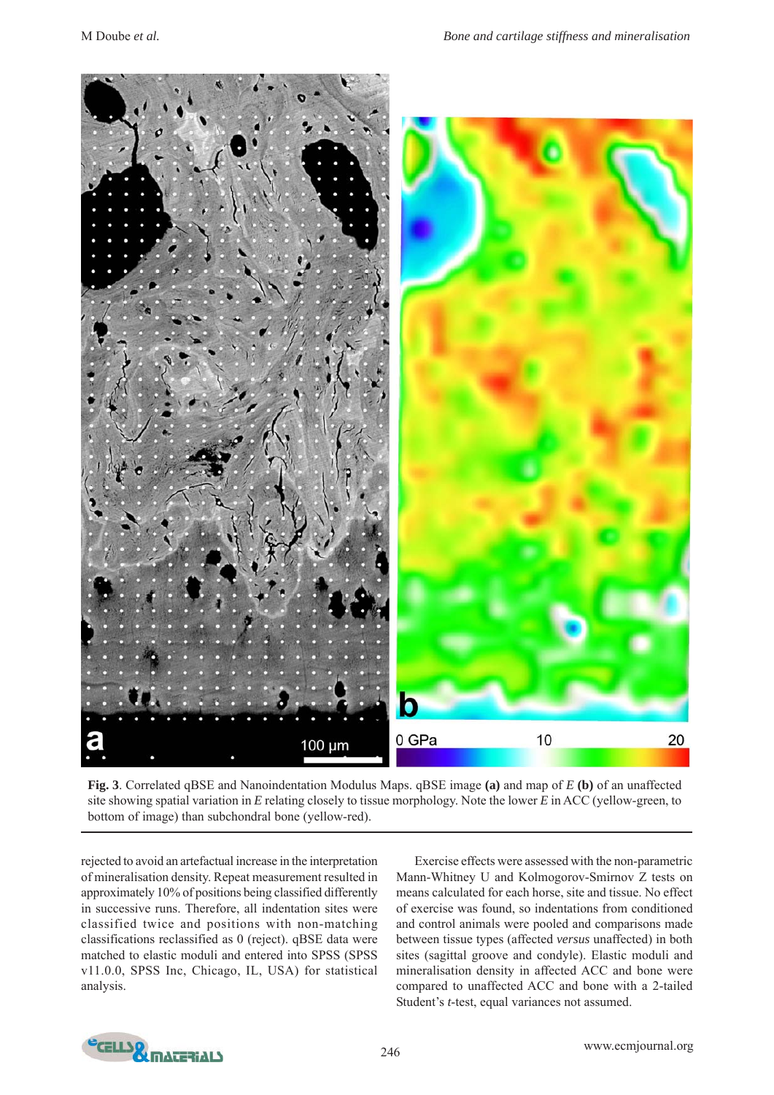

**Fig. 3**. Correlated qBSE and Nanoindentation Modulus Maps. qBSE image **(a)** and map of *E* **(b)** of an unaffected site showing spatial variation in *E* relating closely to tissue morphology. Note the lower *E* in ACC (yellow-green, to bottom of image) than subchondral bone (yellow-red).

rejected to avoid an artefactual increase in the interpretation of mineralisation density. Repeat measurement resulted in approximately 10% of positions being classified differently in successive runs. Therefore, all indentation sites were classified twice and positions with non-matching classifications reclassified as 0 (reject). qBSE data were matched to elastic moduli and entered into SPSS (SPSS v11.0.0, SPSS Inc, Chicago, IL, USA) for statistical analysis.

Exercise effects were assessed with the non-parametric Mann-Whitney U and Kolmogorov-Smirnov Z tests on means calculated for each horse, site and tissue. No effect of exercise was found, so indentations from conditioned and control animals were pooled and comparisons made between tissue types (affected *versus* unaffected) in both sites (sagittal groove and condyle). Elastic moduli and mineralisation density in affected ACC and bone were compared to unaffected ACC and bone with a 2-tailed Student's *t*-test, equal variances not assumed.

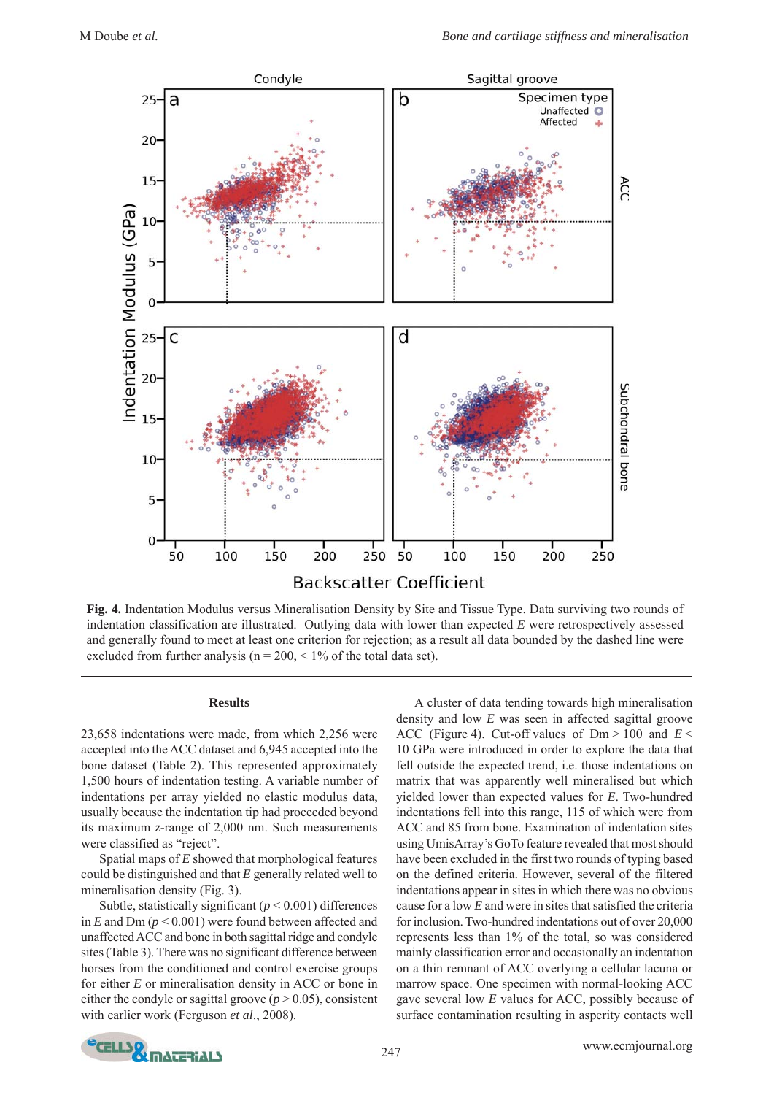

**Fig. 4.** Indentation Modulus versus Mineralisation Density by Site and Tissue Type. Data surviving two rounds of indentation classification are illustrated. Outlying data with lower than expected *E* were retrospectively assessed and generally found to meet at least one criterion for rejection; as a result all data bounded by the dashed line were excluded from further analysis ( $n = 200, \leq 1\%$  of the total data set).

# **Results**

23,658 indentations were made, from which 2,256 were accepted into the ACC dataset and 6,945 accepted into the bone dataset (Table 2). This represented approximately 1,500 hours of indentation testing. A variable number of indentations per array yielded no elastic modulus data, usually because the indentation tip had proceeded beyond its maximum *z*-range of 2,000 nm. Such measurements were classified as "reject".

Spatial maps of *E* showed that morphological features could be distinguished and that *E* generally related well to mineralisation density (Fig. 3).

Subtle, statistically significant (*p* < 0.001) differences in *E* and Dm (*p* < 0.001) were found between affected and unaffected ACC and bone in both sagittal ridge and condyle sites (Table 3). There was no significant difference between horses from the conditioned and control exercise groups for either *E* or mineralisation density in ACC or bone in either the condyle or sagittal groove ( $p > 0.05$ ), consistent with earlier work (Ferguson *et al*., 2008).

A cluster of data tending towards high mineralisation density and low *E* was seen in affected sagittal groove ACC (Figure 4). Cut-off values of Dm > 100 and *E* < 10 GPa were introduced in order to explore the data that fell outside the expected trend, i.e. those indentations on matrix that was apparently well mineralised but which yielded lower than expected values for *E*. Two-hundred indentations fell into this range, 115 of which were from ACC and 85 from bone. Examination of indentation sites using UmisArray's GoTo feature revealed that most should have been excluded in the first two rounds of typing based on the defined criteria. However, several of the filtered indentations appear in sites in which there was no obvious cause for a low *E* and were in sites that satisfied the criteria for inclusion. Two-hundred indentations out of over 20,000 represents less than 1% of the total, so was considered mainly classification error and occasionally an indentation on a thin remnant of ACC overlying a cellular lacuna or marrow space. One specimen with normal-looking ACC gave several low *E* values for ACC, possibly because of surface contamination resulting in asperity contacts well

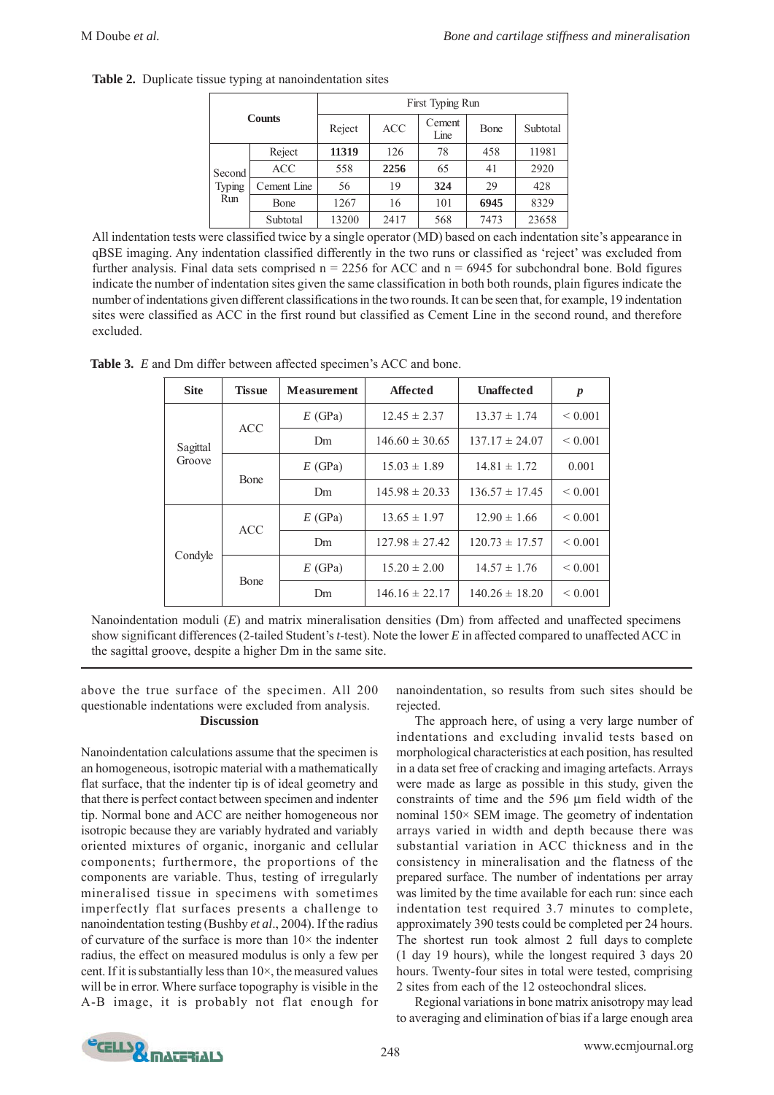| <b>Counts</b>           |             | First Typing Run |            |                |      |          |
|-------------------------|-------------|------------------|------------|----------------|------|----------|
|                         |             | Reject           | <b>ACC</b> | Cement<br>Line | Bone | Subtotal |
| Second<br>Typing<br>Run | Reject      | 11319            | 126        | 78             | 458  | 11981    |
|                         | <b>ACC</b>  | 558              | 2256       | 65             | 41   | 2920     |
|                         | Cement Line | 56               | 19         | 324            | 29   | 428      |
|                         | Bone        | 1267             | 16         | 101            | 6945 | 8329     |
|                         | Subtotal    | 13200            | 2417       | 568            | 7473 | 23658    |

**Table 2.** Duplicate tissue typing at nanoindentation sites

All indentation tests were classified twice by a single operator (MD) based on each indentation site's appearance in qBSE imaging. Any indentation classified differently in the two runs or classified as 'reject' was excluded from further analysis. Final data sets comprised  $n = 2256$  for ACC and  $n = 6945$  for subchondral bone. Bold figures indicate the number of indentation sites given the same classification in both both rounds, plain figures indicate the number of indentations given different classifications in the two rounds. It can be seen that, for example, 19 indentation sites were classified as ACC in the first round but classified as Cement Line in the second round, and therefore excluded.

**Table 3.** *E* and Dm differ between affected specimen's ACC and bone.

| <b>Site</b>        | <b>Tissue</b> | <b>Measurement</b> | <b>Affected</b>    | <b>Unaffected</b>  | $\boldsymbol{p}$ |
|--------------------|---------------|--------------------|--------------------|--------------------|------------------|
| Sagittal<br>Groove | <b>ACC</b>    | E(GPa)             | $12.45 \pm 2.37$   | $13.37 \pm 1.74$   | ${}< 0.001$      |
|                    |               | D <sub>m</sub>     | $146.60 \pm 30.65$ | $137.17 \pm 24.07$ | ${}< 0.001$      |
|                    | <b>B</b> one  | E(GPa)             | $15.03 \pm 1.89$   | $14.81 \pm 1.72$   | 0.001            |
|                    |               | Dm.                | $145.98 \pm 20.33$ | $136.57 \pm 17.45$ | ${}< 0.001$      |
| Condyle            | <b>ACC</b>    | E(GPa)             | $13.65 \pm 1.97$   | $12.90 \pm 1.66$   | ${}< 0.001$      |
|                    |               | Dm.                | $127.98 \pm 27.42$ | $120.73 \pm 17.57$ | ${}< 0.001$      |
|                    | Bone          | E(GPa)             | $15.20 \pm 2.00$   | $14.57 \pm 1.76$   | ${}< 0.001$      |
|                    |               | Dm                 | $146.16 \pm 22.17$ | $140.26 \pm 18.20$ | ${}< 0.001$      |

Nanoindentation moduli (*E*) and matrix mineralisation densities (Dm) from affected and unaffected specimens show significant differences (2-tailed Student's *t*-test). Note the lower *E* in affected compared to unaffected ACC in the sagittal groove, despite a higher Dm in the same site.

# above the true surface of the specimen. All 200 questionable indentations were excluded from analysis. **Discussion**

Nanoindentation calculations assume that the specimen is an homogeneous, isotropic material with a mathematically flat surface, that the indenter tip is of ideal geometry and that there is perfect contact between specimen and indenter tip. Normal bone and ACC are neither homogeneous nor isotropic because they are variably hydrated and variably oriented mixtures of organic, inorganic and cellular components; furthermore, the proportions of the components are variable. Thus, testing of irregularly mineralised tissue in specimens with sometimes imperfectly flat surfaces presents a challenge to nanoindentation testing (Bushby *et al*., 2004). If the radius of curvature of the surface is more than  $10\times$  the indenter radius, the effect on measured modulus is only a few per cent. If it is substantially less than 10×, the measured values will be in error. Where surface topography is visible in the A-B image, it is probably not flat enough for

nanoindentation, so results from such sites should be rejected.

The approach here, of using a very large number of indentations and excluding invalid tests based on morphological characteristics at each position, has resulted in a data set free of cracking and imaging artefacts. Arrays were made as large as possible in this study, given the constraints of time and the 596 μm field width of the nominal 150× SEM image. The geometry of indentation arrays varied in width and depth because there was substantial variation in ACC thickness and in the consistency in mineralisation and the flatness of the prepared surface. The number of indentations per array was limited by the time available for each run: since each indentation test required 3.7 minutes to complete, approximately 390 tests could be completed per 24 hours. The shortest run took almost 2 full days to complete (1 day 19 hours), while the longest required 3 days 20 hours. Twenty-four sites in total were tested, comprising 2 sites from each of the 12 osteochondral slices.

Regional variations in bone matrix anisotropy may lead to averaging and elimination of bias if a large enough area

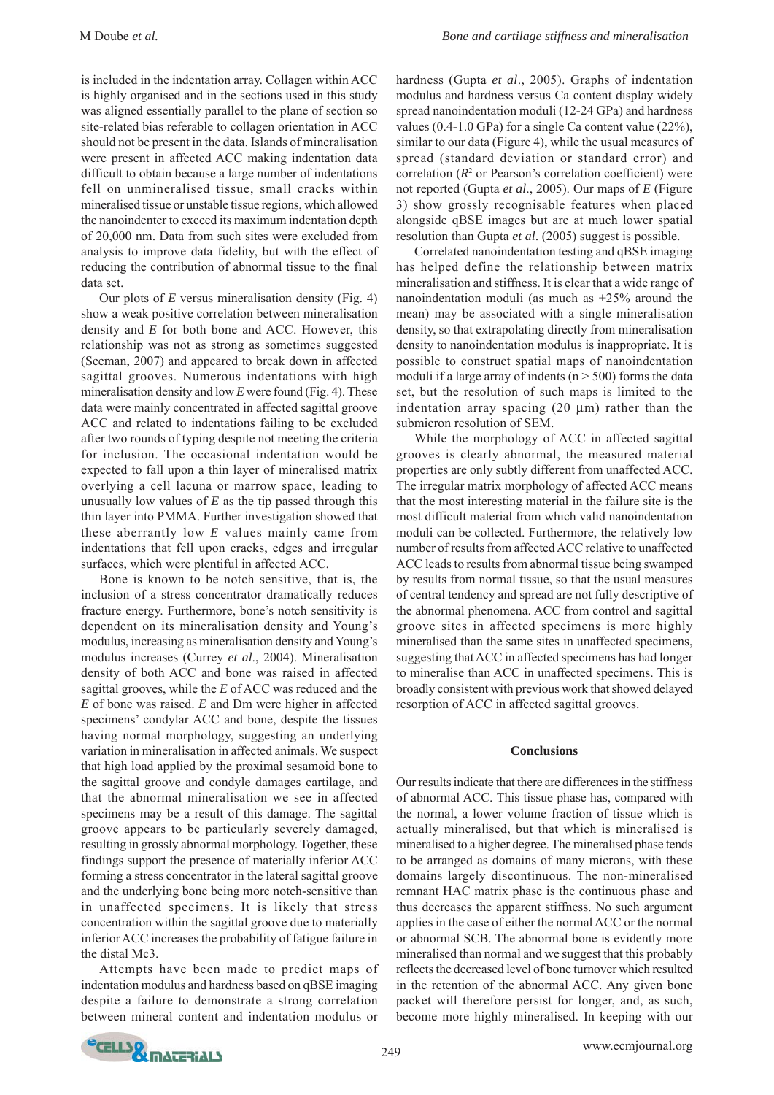is included in the indentation array. Collagen within ACC is highly organised and in the sections used in this study was aligned essentially parallel to the plane of section so site-related bias referable to collagen orientation in ACC should not be present in the data. Islands of mineralisation were present in affected ACC making indentation data difficult to obtain because a large number of indentations fell on unmineralised tissue, small cracks within mineralised tissue or unstable tissue regions, which allowed the nanoindenter to exceed its maximum indentation depth of 20,000 nm. Data from such sites were excluded from analysis to improve data fidelity, but with the effect of reducing the contribution of abnormal tissue to the final data set.

Our plots of *E* versus mineralisation density (Fig. 4) show a weak positive correlation between mineralisation density and *E* for both bone and ACC. However, this relationship was not as strong as sometimes suggested (Seeman, 2007) and appeared to break down in affected sagittal grooves. Numerous indentations with high mineralisation density and low *E* were found (Fig. 4). These data were mainly concentrated in affected sagittal groove ACC and related to indentations failing to be excluded after two rounds of typing despite not meeting the criteria for inclusion. The occasional indentation would be expected to fall upon a thin layer of mineralised matrix overlying a cell lacuna or marrow space, leading to unusually low values of *E* as the tip passed through this thin layer into PMMA. Further investigation showed that these aberrantly low *E* values mainly came from indentations that fell upon cracks, edges and irregular surfaces, which were plentiful in affected ACC.

Bone is known to be notch sensitive, that is, the inclusion of a stress concentrator dramatically reduces fracture energy. Furthermore, bone's notch sensitivity is dependent on its mineralisation density and Young's modulus, increasing as mineralisation density and Young's modulus increases (Currey *et al*., 2004). Mineralisation density of both ACC and bone was raised in affected sagittal grooves, while the *E* of ACC was reduced and the *E* of bone was raised. *E* and Dm were higher in affected specimens' condylar ACC and bone, despite the tissues having normal morphology, suggesting an underlying variation in mineralisation in affected animals. We suspect that high load applied by the proximal sesamoid bone to the sagittal groove and condyle damages cartilage, and that the abnormal mineralisation we see in affected specimens may be a result of this damage. The sagittal groove appears to be particularly severely damaged, resulting in grossly abnormal morphology. Together, these findings support the presence of materially inferior ACC forming a stress concentrator in the lateral sagittal groove and the underlying bone being more notch-sensitive than in unaffected specimens. It is likely that stress concentration within the sagittal groove due to materially inferior ACC increases the probability of fatigue failure in the distal Mc3.

Attempts have been made to predict maps of indentation modulus and hardness based on qBSE imaging despite a failure to demonstrate a strong correlation between mineral content and indentation modulus or

hardness (Gupta *et al*., 2005). Graphs of indentation modulus and hardness versus Ca content display widely spread nanoindentation moduli (12-24 GPa) and hardness values (0.4-1.0 GPa) for a single Ca content value (22%), similar to our data (Figure 4), while the usual measures of spread (standard deviation or standard error) and correlation  $(R<sup>2</sup>$  or Pearson's correlation coefficient) were not reported (Gupta *et al*., 2005). Our maps of *E* (Figure 3) show grossly recognisable features when placed alongside qBSE images but are at much lower spatial resolution than Gupta *et al*. (2005) suggest is possible.

Correlated nanoindentation testing and qBSE imaging has helped define the relationship between matrix mineralisation and stiffness. It is clear that a wide range of nanoindentation moduli (as much as  $\pm 25\%$  around the mean) may be associated with a single mineralisation density, so that extrapolating directly from mineralisation density to nanoindentation modulus is inappropriate. It is possible to construct spatial maps of nanoindentation moduli if a large array of indents ( $n > 500$ ) forms the data set, but the resolution of such maps is limited to the indentation array spacing (20 μm) rather than the submicron resolution of SEM.

While the morphology of ACC in affected sagittal grooves is clearly abnormal, the measured material properties are only subtly different from unaffected ACC. The irregular matrix morphology of affected ACC means that the most interesting material in the failure site is the most difficult material from which valid nanoindentation moduli can be collected. Furthermore, the relatively low number of results from affected ACC relative to unaffected ACC leads to results from abnormal tissue being swamped by results from normal tissue, so that the usual measures of central tendency and spread are not fully descriptive of the abnormal phenomena. ACC from control and sagittal groove sites in affected specimens is more highly mineralised than the same sites in unaffected specimens, suggesting that ACC in affected specimens has had longer to mineralise than ACC in unaffected specimens. This is broadly consistent with previous work that showed delayed resorption of ACC in affected sagittal grooves.

## **Conclusions**

Our results indicate that there are differences in the stiffness of abnormal ACC. This tissue phase has, compared with the normal, a lower volume fraction of tissue which is actually mineralised, but that which is mineralised is mineralised to a higher degree. The mineralised phase tends to be arranged as domains of many microns, with these domains largely discontinuous. The non-mineralised remnant HAC matrix phase is the continuous phase and thus decreases the apparent stiffness. No such argument applies in the case of either the normal ACC or the normal or abnormal SCB. The abnormal bone is evidently more mineralised than normal and we suggest that this probably reflects the decreased level of bone turnover which resulted in the retention of the abnormal ACC. Any given bone packet will therefore persist for longer, and, as such, become more highly mineralised. In keeping with our

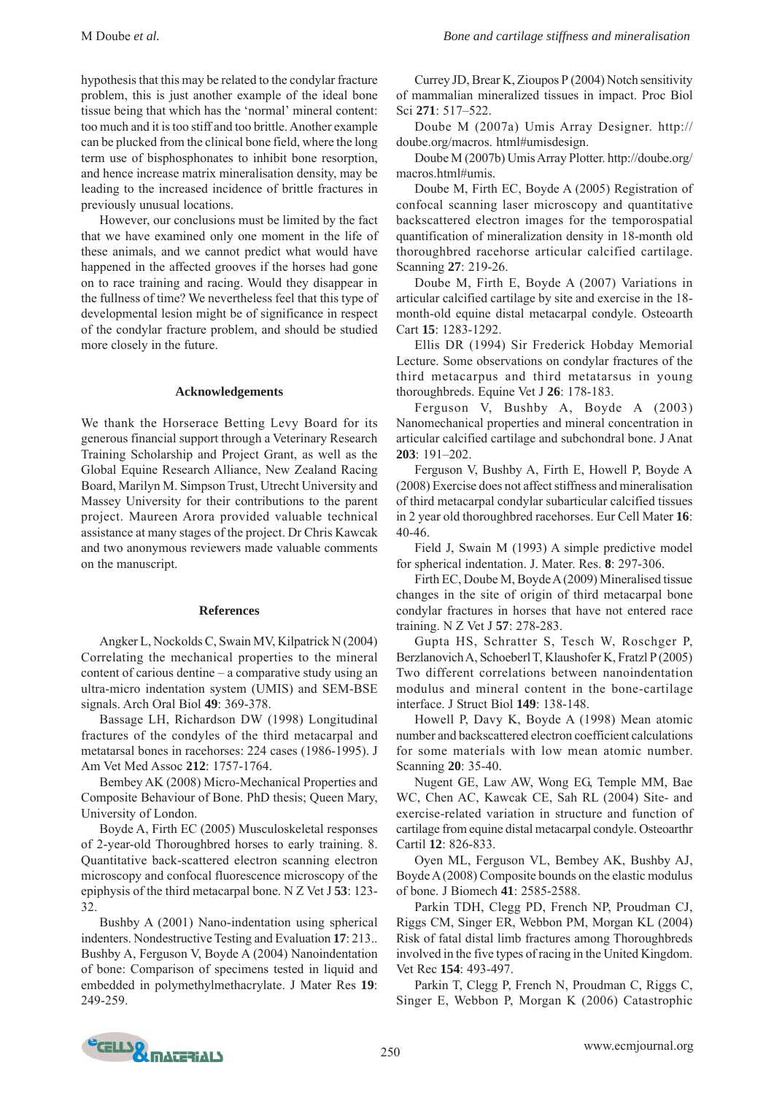hypothesis that this may be related to the condylar fracture problem, this is just another example of the ideal bone tissue being that which has the 'normal' mineral content: too much and it is too stiff and too brittle. Another example can be plucked from the clinical bone field, where the long term use of bisphosphonates to inhibit bone resorption, and hence increase matrix mineralisation density, may be leading to the increased incidence of brittle fractures in previously unusual locations.

However, our conclusions must be limited by the fact that we have examined only one moment in the life of these animals, and we cannot predict what would have happened in the affected grooves if the horses had gone on to race training and racing. Would they disappear in the fullness of time? We nevertheless feel that this type of developmental lesion might be of significance in respect of the condylar fracture problem, and should be studied more closely in the future.

## **Acknowledgements**

We thank the Horserace Betting Levy Board for its generous financial support through a Veterinary Research Training Scholarship and Project Grant, as well as the Global Equine Research Alliance, New Zealand Racing Board, Marilyn M. Simpson Trust, Utrecht University and Massey University for their contributions to the parent project. Maureen Arora provided valuable technical assistance at many stages of the project. Dr Chris Kawcak and two anonymous reviewers made valuable comments on the manuscript.

## **References**

Angker L, Nockolds C, Swain MV, Kilpatrick N (2004) Correlating the mechanical properties to the mineral content of carious dentine – a comparative study using an ultra-micro indentation system (UMIS) and SEM-BSE signals. Arch Oral Biol **49**: 369-378.

Bassage LH, Richardson DW (1998) Longitudinal fractures of the condyles of the third metacarpal and metatarsal bones in racehorses: 224 cases (1986-1995). J Am Vet Med Assoc **212**: 1757-1764.

Bembey AK (2008) Micro-Mechanical Properties and Composite Behaviour of Bone. PhD thesis; Queen Mary, University of London.

Boyde A, Firth EC (2005) Musculoskeletal responses of 2-year-old Thoroughbred horses to early training. 8. Quantitative back-scattered electron scanning electron microscopy and confocal fluorescence microscopy of the epiphysis of the third metacarpal bone. N Z Vet J **53**: 123- 32.

Bushby A (2001) Nano-indentation using spherical indenters. Nondestructive Testing and Evaluation **17**: 213.. Bushby A, Ferguson V, Boyde A (2004) Nanoindentation of bone: Comparison of specimens tested in liquid and embedded in polymethylmethacrylate. J Mater Res **19**: 249-259.

Currey JD, Brear K, Zioupos P (2004) Notch sensitivity of mammalian mineralized tissues in impact. Proc Biol Sci **271**: 517–522.

Doube M (2007a) Umis Array Designer. http:// doube.org/macros. html#umisdesign.

Doube M (2007b) Umis Array Plotter. http://doube.org/ macros.html#umis.

Doube M, Firth EC, Boyde A (2005) Registration of confocal scanning laser microscopy and quantitative backscattered electron images for the temporospatial quantification of mineralization density in 18-month old thoroughbred racehorse articular calcified cartilage. Scanning **27**: 219-26.

Doube M, Firth E, Boyde A (2007) Variations in articular calcified cartilage by site and exercise in the 18 month-old equine distal metacarpal condyle. Osteoarth Cart **15**: 1283-1292.

Ellis DR (1994) Sir Frederick Hobday Memorial Lecture. Some observations on condylar fractures of the third metacarpus and third metatarsus in young thoroughbreds. Equine Vet J **26**: 178-183.

Ferguson V, Bushby A, Boyde A (2003) Nanomechanical properties and mineral concentration in articular calcified cartilage and subchondral bone. J Anat **203**: 191–202.

Ferguson V, Bushby A, Firth E, Howell P, Boyde A (2008) Exercise does not affect stiffness and mineralisation of third metacarpal condylar subarticular calcified tissues in 2 year old thoroughbred racehorses. Eur Cell Mater **16**: 40-46.

Field J, Swain M (1993) A simple predictive model for spherical indentation. J. Mater. Res. **8**: 297-306.

Firth EC, Doube M, Boyde A (2009) Mineralised tissue changes in the site of origin of third metacarpal bone condylar fractures in horses that have not entered race training. N Z Vet J **57**: 278-283.

Gupta HS, Schratter S, Tesch W, Roschger P, Berzlanovich A, Schoeberl T, Klaushofer K, Fratzl P (2005) Two different correlations between nanoindentation modulus and mineral content in the bone-cartilage interface. J Struct Biol **149**: 138-148.

Howell P, Davy K, Boyde A (1998) Mean atomic number and backscattered electron coefficient calculations for some materials with low mean atomic number. Scanning **20**: 35-40.

Nugent GE, Law AW, Wong EG, Temple MM, Bae WC, Chen AC, Kawcak CE, Sah RL (2004) Site- and exercise-related variation in structure and function of cartilage from equine distal metacarpal condyle. Osteoarthr Cartil **12**: 826-833.

Oyen ML, Ferguson VL, Bembey AK, Bushby AJ, Boyde A (2008) Composite bounds on the elastic modulus of bone. J Biomech **41**: 2585-2588.

Parkin TDH, Clegg PD, French NP, Proudman CJ, Riggs CM, Singer ER, Webbon PM, Morgan KL (2004) Risk of fatal distal limb fractures among Thoroughbreds involved in the five types of racing in the United Kingdom. Vet Rec **154**: 493-497.

Parkin T, Clegg P, French N, Proudman C, Riggs C, Singer E, Webbon P, Morgan K (2006) Catastrophic